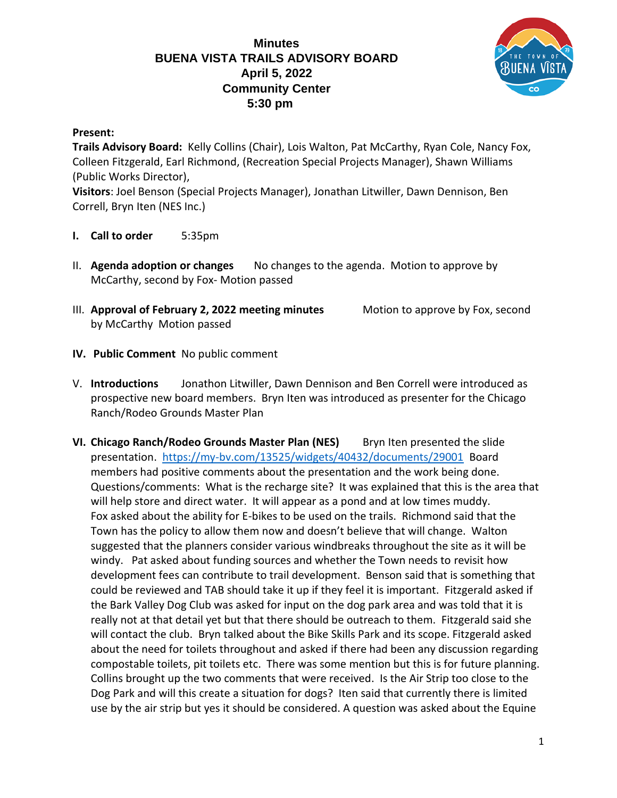

### **Present:**

**Trails Advisory Board:** Kelly Collins (Chair), Lois Walton, Pat McCarthy, Ryan Cole, Nancy Fox, Colleen Fitzgerald, Earl Richmond, (Recreation Special Projects Manager), Shawn Williams (Public Works Director),

**Visitors**: Joel Benson (Special Projects Manager), Jonathan Litwiller, Dawn Dennison, Ben Correll, Bryn Iten (NES Inc.)

- **I. Call to order** 5:35pm
- II. **Agenda adoption or changes** No changes to the agenda. Motion to approve by McCarthy, second by Fox- Motion passed
- III. **Approval of February 2, 2022 meeting minutes** Motion to approve by Fox, second by McCarthy Motion passed
- **IV. Public Comment** No public comment
- V. **Introductions** Jonathon Litwiller, Dawn Dennison and Ben Correll were introduced as prospective new board members. Bryn Iten was introduced as presenter for the Chicago Ranch/Rodeo Grounds Master Plan
- **VI. Chicago Ranch/Rodeo Grounds Master Plan (NES)** Bryn Iten presented the slide presentation. <https://my-bv.com/13525/widgets/40432/documents/29001>Board members had positive comments about the presentation and the work being done. Questions/comments: What is the recharge site? It was explained that this is the area that will help store and direct water. It will appear as a pond and at low times muddy. Fox asked about the ability for E-bikes to be used on the trails. Richmond said that the Town has the policy to allow them now and doesn't believe that will change. Walton suggested that the planners consider various windbreaks throughout the site as it will be windy. Pat asked about funding sources and whether the Town needs to revisit how development fees can contribute to trail development. Benson said that is something that could be reviewed and TAB should take it up if they feel it is important. Fitzgerald asked if the Bark Valley Dog Club was asked for input on the dog park area and was told that it is really not at that detail yet but that there should be outreach to them. Fitzgerald said she will contact the club. Bryn talked about the Bike Skills Park and its scope. Fitzgerald asked about the need for toilets throughout and asked if there had been any discussion regarding compostable toilets, pit toilets etc. There was some mention but this is for future planning. Collins brought up the two comments that were received. Is the Air Strip too close to the Dog Park and will this create a situation for dogs? Iten said that currently there is limited use by the air strip but yes it should be considered. A question was asked about the Equine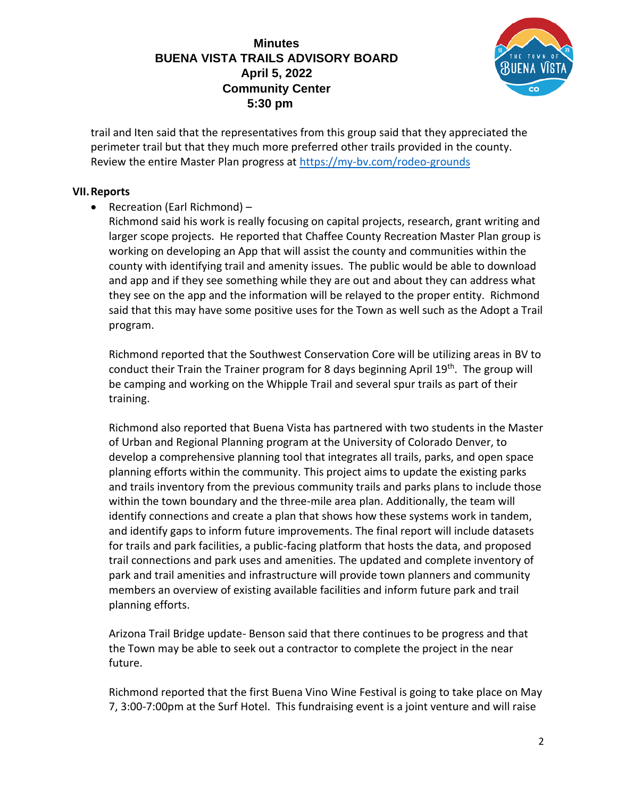

trail and Iten said that the representatives from this group said that they appreciated the perimeter trail but that they much more preferred other trails provided in the county. Review the entire Master Plan progress at<https://my-bv.com/rodeo-grounds>

## **VII.Reports**

• Recreation (Earl Richmond) –

Richmond said his work is really focusing on capital projects, research, grant writing and larger scope projects. He reported that Chaffee County Recreation Master Plan group is working on developing an App that will assist the county and communities within the county with identifying trail and amenity issues. The public would be able to download and app and if they see something while they are out and about they can address what they see on the app and the information will be relayed to the proper entity. Richmond said that this may have some positive uses for the Town as well such as the Adopt a Trail program.

Richmond reported that the Southwest Conservation Core will be utilizing areas in BV to conduct their Train the Trainer program for 8 days beginning April 19<sup>th</sup>. The group will be camping and working on the Whipple Trail and several spur trails as part of their training.

Richmond also reported that Buena Vista has partnered with two students in the Master of Urban and Regional Planning program at the University of Colorado Denver, to develop a comprehensive planning tool that integrates all trails, parks, and open space planning efforts within the community. This project aims to update the existing parks and trails inventory from the previous community trails and parks plans to include those within the town boundary and the three-mile area plan. Additionally, the team will identify connections and create a plan that shows how these systems work in tandem, and identify gaps to inform future improvements. The final report will include datasets for trails and park facilities, a public-facing platform that hosts the data, and proposed trail connections and park uses and amenities. The updated and complete inventory of park and trail amenities and infrastructure will provide town planners and community members an overview of existing available facilities and inform future park and trail planning efforts.

Arizona Trail Bridge update- Benson said that there continues to be progress and that the Town may be able to seek out a contractor to complete the project in the near future.

Richmond reported that the first Buena Vino Wine Festival is going to take place on May 7, 3:00-7:00pm at the Surf Hotel. This fundraising event is a joint venture and will raise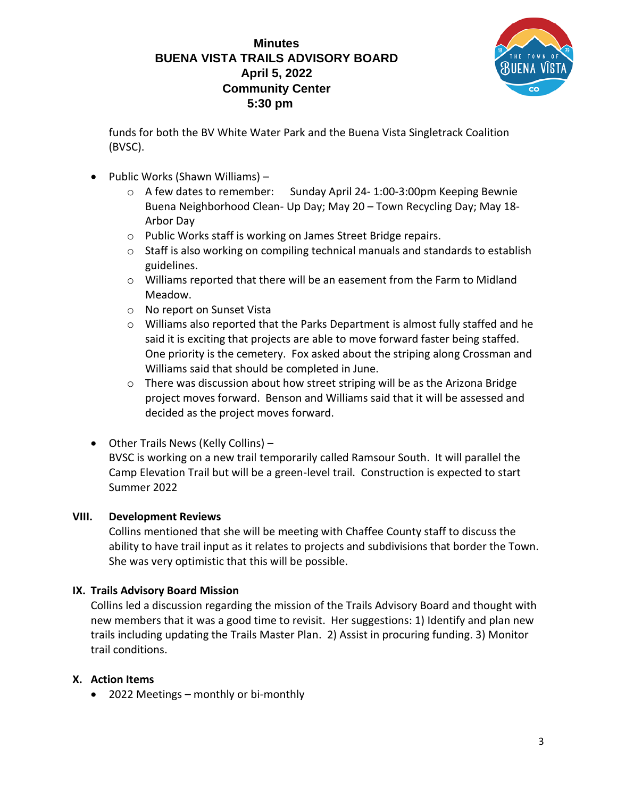

funds for both the BV White Water Park and the Buena Vista Singletrack Coalition (BVSC).

- Public Works (Shawn Williams)
	- o A few dates to remember: Sunday April 24- 1:00-3:00pm Keeping Bewnie Buena Neighborhood Clean- Up Day; May 20 – Town Recycling Day; May 18- Arbor Day
	- o Public Works staff is working on James Street Bridge repairs.
	- $\circ$  Staff is also working on compiling technical manuals and standards to establish guidelines.
	- $\circ$  Williams reported that there will be an easement from the Farm to Midland Meadow.
	- o No report on Sunset Vista
	- $\circ$  Williams also reported that the Parks Department is almost fully staffed and he said it is exciting that projects are able to move forward faster being staffed. One priority is the cemetery. Fox asked about the striping along Crossman and Williams said that should be completed in June.
	- $\circ$  There was discussion about how street striping will be as the Arizona Bridge project moves forward. Benson and Williams said that it will be assessed and decided as the project moves forward.
- Other Trails News (Kelly Collins) BVSC is working on a new trail temporarily called Ramsour South. It will parallel the Camp Elevation Trail but will be a green-level trail. Construction is expected to start Summer 2022

#### **VIII. Development Reviews**

Collins mentioned that she will be meeting with Chaffee County staff to discuss the ability to have trail input as it relates to projects and subdivisions that border the Town. She was very optimistic that this will be possible.

### **IX. Trails Advisory Board Mission**

Collins led a discussion regarding the mission of the Trails Advisory Board and thought with new members that it was a good time to revisit. Her suggestions: 1) Identify and plan new trails including updating the Trails Master Plan. 2) Assist in procuring funding. 3) Monitor trail conditions.

### **X. Action Items**

• 2022 Meetings – monthly or bi-monthly